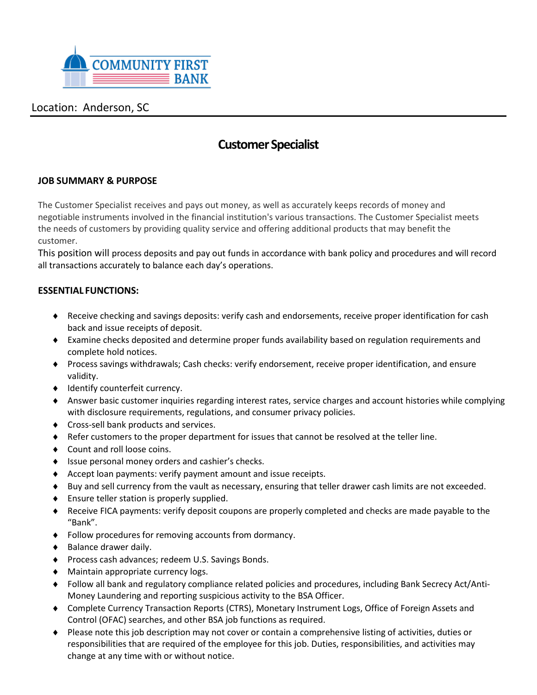

## Location: Anderson, SC

# **Customer Specialist**

## **JOB SUMMARY & PURPOSE**

The Customer Specialist receives and pays out money, as well as accurately keeps records of money and negotiable instruments involved in the financial institution's various transactions. The Customer Specialist meets the needs of customers by providing quality service and offering additional products that may benefit the customer.

This position will process deposits and pay out funds in accordance with bank policy and procedures and will record all transactions accurately to balance each day's operations.

### **ESSENTIAL FUNCTIONS:**

- Receive checking and savings deposits: verify cash and endorsements, receive proper identification for cash back and issue receipts of deposit.
- Examine checks deposited and determine proper funds availability based on regulation requirements and complete hold notices.
- Process savings withdrawals; Cash checks: verify endorsement, receive proper identification, and ensure validity.
- $\bullet$  Identify counterfeit currency.
- Answer basic customer inquiries regarding interest rates, service charges and account histories while complying with disclosure requirements, regulations, and consumer privacy policies.
- **Cross-sell bank products and services.**
- Refer customers to the proper department for issues that cannot be resolved at the teller line.
- ◆ Count and roll loose coins.
- ◆ Issue personal money orders and cashier's checks.
- $\triangle$  Accept loan payments: verify payment amount and issue receipts.
- Buy and sell currency from the vault as necessary, ensuring that teller drawer cash limits are not exceeded.
- ◆ Ensure teller station is properly supplied.
- Receive FICA payments: verify deposit coupons are properly completed and checks are made payable to the "Bank".
- Follow procedures for removing accounts from dormancy.
- $\triangleleft$  Balance drawer daily.
- Process cash advances; redeem U.S. Savings Bonds.
- Maintain appropriate currency logs.
- Follow all bank and regulatory compliance related policies and procedures, including Bank Secrecy Act/Anti-Money Laundering and reporting suspicious activity to the BSA Officer.
- Complete Currency Transaction Reports (CTRS), Monetary Instrument Logs, Office of Foreign Assets and Control (OFAC) searches, and other BSA job functions as required.
- Please note this job description may not cover or contain a comprehensive listing of activities, duties or responsibilities that are required of the employee for this job. Duties, responsibilities, and activities may change at any time with or without notice.